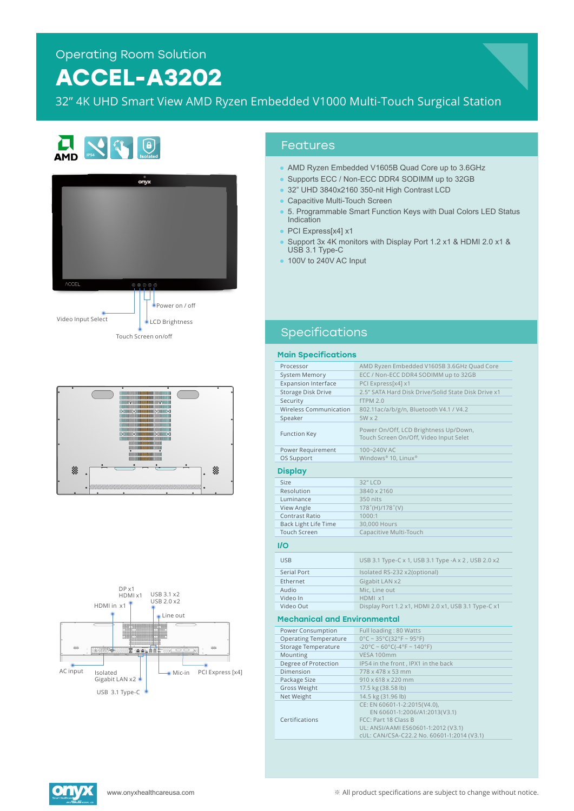# **ACCEL-A3202**

32" 4K UHD Smart View AMD Ryzen Embedded V1000 Multi-Touch Surgical Station









#### Features

- AMD Ryzen Embedded V1605B Quad Core up to 3.6GHz
- Supports ECC / Non-ECC DDR4 SODIMM up to 32GB
- 32" UHD 3840x2160 350-nit High Contrast LCD
- Capacitive Multi-Touch Screen
- 5. Programmable Smart Function Keys with Dual Colors LED Status Indication
- PCI Express[x4] x1
- Support 3x 4K monitors with Display Port 1.2 x1 & HDMI 2.0 x1 & USB 3.1 Type-C
- 100V to 240V AC Input

## Specifications

#### Main Specifications

| Processor                           | AMD Ryzen Embedded V1605B 3.6GHz Quad Core                                                                                                                                 |
|-------------------------------------|----------------------------------------------------------------------------------------------------------------------------------------------------------------------------|
| <b>System Memory</b>                | ECC / Non-ECC DDR4 SODIMM up to 32GB                                                                                                                                       |
| <b>Expansion Interface</b>          | PCI Express[x4] x1                                                                                                                                                         |
| <b>Storage Disk Drive</b>           | 2.5" SATA Hard Disk Drive/Solid State Disk Drive x1                                                                                                                        |
| Security                            | <b>fTPM 2.0</b>                                                                                                                                                            |
| Wireless Communication              | 802.11ac/a/b/g/n, Bluetooth V4.1 / V4.2                                                                                                                                    |
| Speaker                             | $5W \times 2$                                                                                                                                                              |
| <b>Function Key</b>                 | Power On/Off, LCD Brightness Up/Down,<br>Touch Screen On/Off, Video Input Selet                                                                                            |
| Power Requirement                   | 100~240V AC                                                                                                                                                                |
| OS Support                          | Windows® 10, Linux®                                                                                                                                                        |
| Display                             |                                                                                                                                                                            |
| Size                                | 32" LCD                                                                                                                                                                    |
| Resolution                          | 3840 x 2160                                                                                                                                                                |
| Luminance                           | 350 nits                                                                                                                                                                   |
| View Angle                          | $178^{\circ}$ (H)/178 $^{\circ}$ (V)                                                                                                                                       |
| <b>Contrast Ratio</b>               | 1000:1                                                                                                                                                                     |
| <b>Back Light Life Time</b>         | 30,000 Hours                                                                                                                                                               |
| <b>Touch Screen</b>                 | Capacitive Multi-Touch                                                                                                                                                     |
| I/O                                 |                                                                                                                                                                            |
| <b>USB</b>                          | USB 3.1 Type-C x 1, USB 3.1 Type -A x 2, USB 2.0 x2                                                                                                                        |
| <b>Serial Port</b>                  | Isolated RS-232 x2(optional)                                                                                                                                               |
| Ethernet                            | Gigabit LAN x2                                                                                                                                                             |
| Audio                               | Mic, Line out                                                                                                                                                              |
| Video In                            | HDMI x1                                                                                                                                                                    |
| Video Out                           | Display Port 1.2 x1, HDMI 2.0 x1, USB 3.1 Type-C x1                                                                                                                        |
| <b>Mechanical and Environmental</b> |                                                                                                                                                                            |
| Power Consumption                   | Full loading: 80 Watts                                                                                                                                                     |
| <b>Operating Temperature</b>        | $0^{\circ}$ C ~ 35°C(32°F ~ 95°F)                                                                                                                                          |
| <b>Storage Temperature</b>          | $-20^{\circ}$ C ~ 60°C(-4°F ~ 140°F)                                                                                                                                       |
| Mounting                            | VESA 100mm                                                                                                                                                                 |
| Degree of Protection                | IP54 in the front, IPX1 in the back                                                                                                                                        |
| Dimension                           | 778 x 478 x 53 mm                                                                                                                                                          |
| Package Size                        | 910 x 618 x 220 mm                                                                                                                                                         |
| <b>Gross Weight</b>                 | 17.5 kg (38.58 lb)                                                                                                                                                         |
| Net Weight                          | 14.5 kg (31.96 lb)                                                                                                                                                         |
| Certifications                      | CE: EN 60601-1-2:2015(V4.0),<br>EN 60601-1:2006/A1:2013(V3.1)<br>FCC: Part 18 Class B<br>UL: ANSI/AAMI ES60601-1:2012 (V3.1)<br>cUL: CAN/CSA-C22.2 No. 60601-1:2014 (V3.1) |
|                                     |                                                                                                                                                                            |